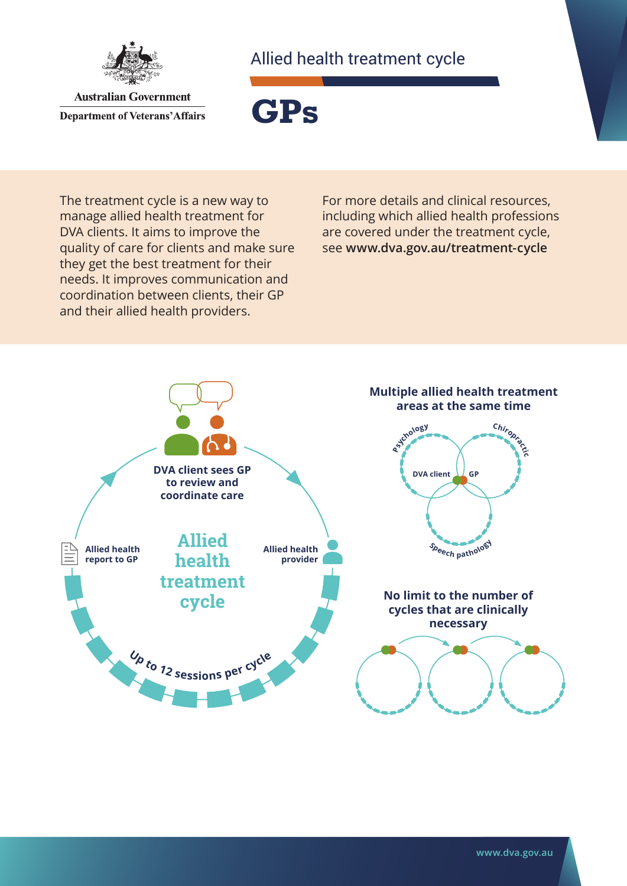

Allied health treatment cycle

**Australian Government Department of Veterans' Affairs** 

**GPs**

The treatment cycle is a new way to manage allied health treatment for DVA clients. It aims to improve the quality of care for clients and make sure they get the best treatment for their needs. It improves communication and coordination between clients, their GP and their allied health providers.

For more details and clinical resources, including which allied health professions are covered under the treatment cycle, see **[www.dva.gov.au/](http://www.dva.gov.au/treatment-cycle)treatment-cycle**